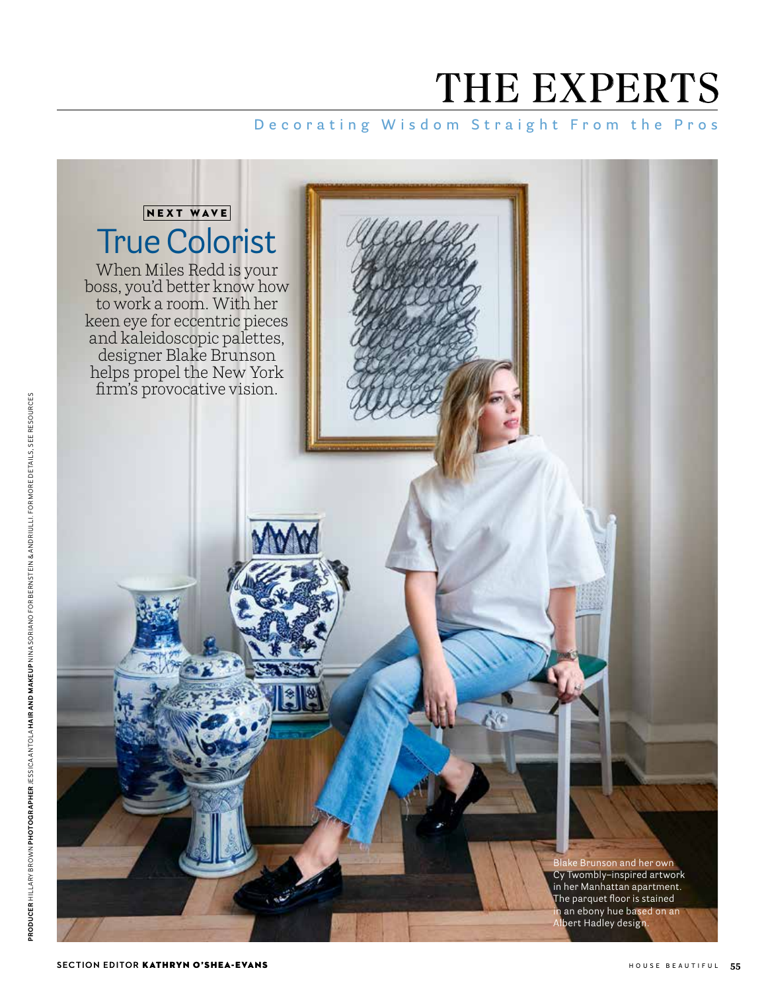# THE EXPERTS

## **Decorating Wisdom Straight From the Pros**